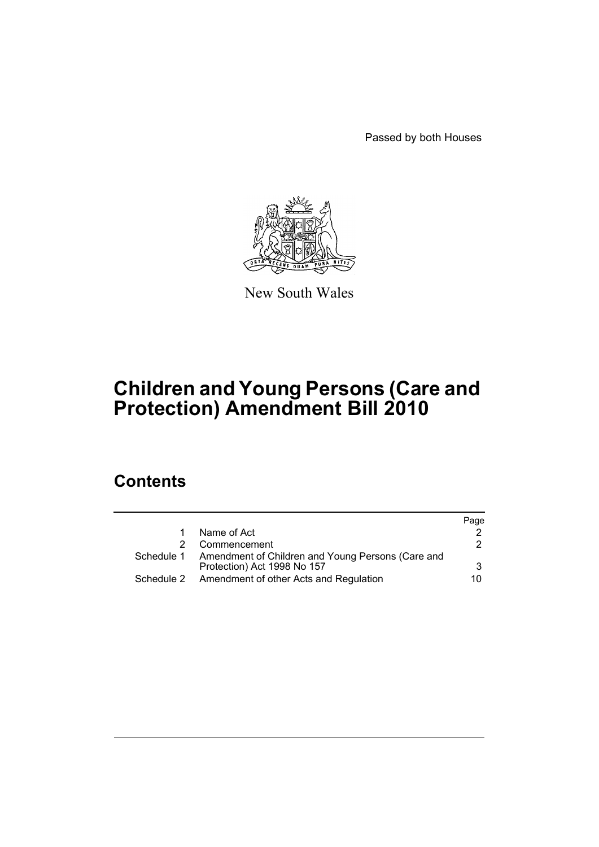Passed by both Houses



New South Wales

# **Children and Young Persons (Care and Protection) Amendment Bill 2010**

# **Contents**

|            |                                                                                             | Page |
|------------|---------------------------------------------------------------------------------------------|------|
|            | Name of Act                                                                                 |      |
|            | Commencement                                                                                | 2    |
|            | Schedule 1 Amendment of Children and Young Persons (Care and<br>Protection) Act 1998 No 157 | 3    |
|            |                                                                                             |      |
| Schedule 2 | Amendment of other Acts and Regulation                                                      | 10.  |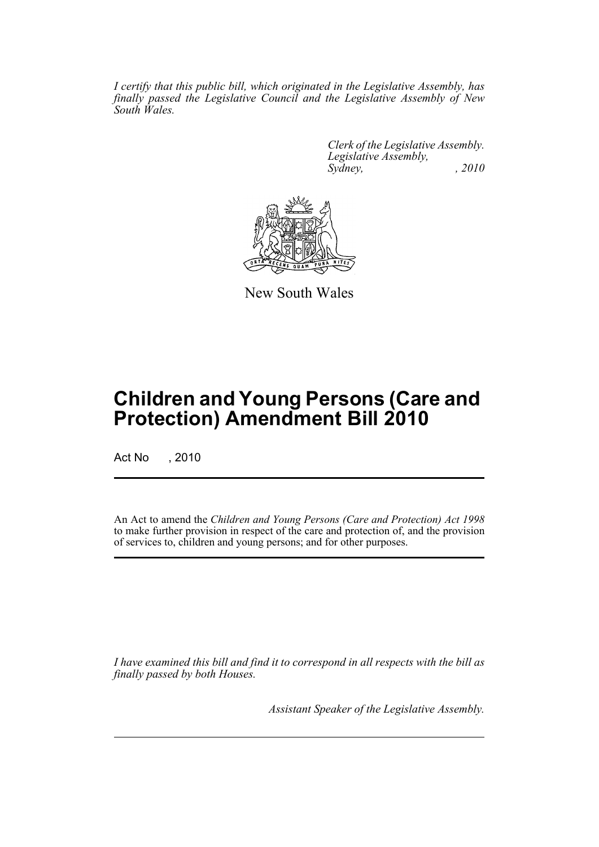*I certify that this public bill, which originated in the Legislative Assembly, has finally passed the Legislative Council and the Legislative Assembly of New South Wales.*

> *Clerk of the Legislative Assembly. Legislative Assembly, Sydney, , 2010*



New South Wales

# **Children and Young Persons (Care and Protection) Amendment Bill 2010**

Act No , 2010

An Act to amend the *Children and Young Persons (Care and Protection) Act 1998* to make further provision in respect of the care and protection of, and the provision of services to, children and young persons; and for other purposes.

*I have examined this bill and find it to correspond in all respects with the bill as finally passed by both Houses.*

*Assistant Speaker of the Legislative Assembly.*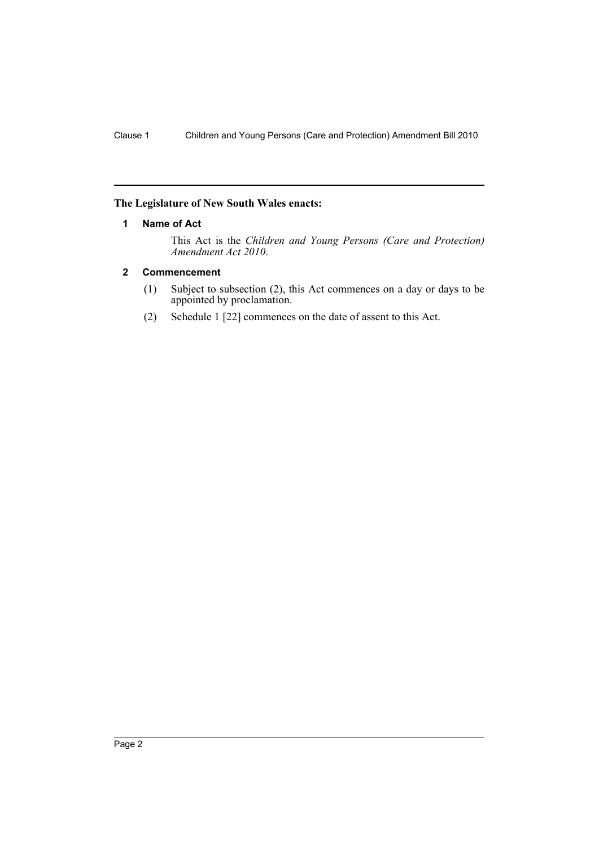#### <span id="page-3-0"></span>**The Legislature of New South Wales enacts:**

#### **1 Name of Act**

This Act is the *Children and Young Persons (Care and Protection) Amendment Act 2010*.

### <span id="page-3-1"></span>**2 Commencement**

- (1) Subject to subsection (2), this Act commences on a day or days to be appointed by proclamation.
- (2) Schedule 1 [22] commences on the date of assent to this Act.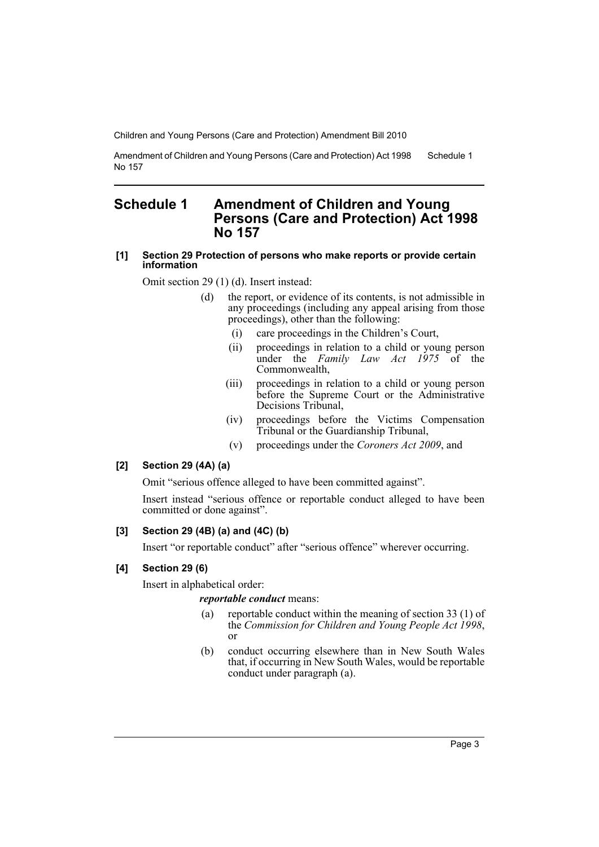Amendment of Children and Young Persons (Care and Protection) Act 1998 No 157 Schedule 1

## <span id="page-4-0"></span>**Schedule 1 Amendment of Children and Young Persons (Care and Protection) Act 1998 No 157**

#### **[1] Section 29 Protection of persons who make reports or provide certain information**

Omit section 29 (1) (d). Insert instead:

- (d) the report, or evidence of its contents, is not admissible in any proceedings (including any appeal arising from those proceedings), other than the following:
	- (i) care proceedings in the Children's Court,
	- (ii) proceedings in relation to a child or young person under the *Family Law Act 1975* of the Commonwealth,
	- (iii) proceedings in relation to a child or young person before the Supreme Court or the Administrative Decisions Tribunal,
	- (iv) proceedings before the Victims Compensation Tribunal or the Guardianship Tribunal,
	- (v) proceedings under the *Coroners Act 2009*, and

#### **[2] Section 29 (4A) (a)**

Omit "serious offence alleged to have been committed against".

Insert instead "serious offence or reportable conduct alleged to have been committed or done against".

#### **[3] Section 29 (4B) (a) and (4C) (b)**

Insert "or reportable conduct" after "serious offence" wherever occurring.

#### **[4] Section 29 (6)**

Insert in alphabetical order:

#### *reportable conduct* means:

- (a) reportable conduct within the meaning of section 33 (1) of the *Commission for Children and Young People Act 1998*, or
- (b) conduct occurring elsewhere than in New South Wales that, if occurring in New South Wales, would be reportable conduct under paragraph (a).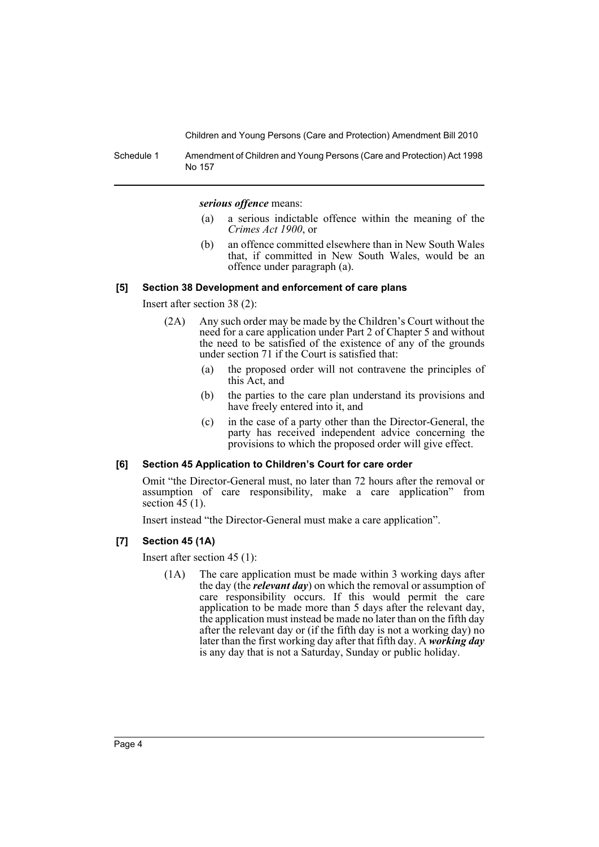Schedule 1 Amendment of Children and Young Persons (Care and Protection) Act 1998 No 157

*serious offence* means:

- (a) a serious indictable offence within the meaning of the *Crimes Act 1900*, or
- (b) an offence committed elsewhere than in New South Wales that, if committed in New South Wales, would be an offence under paragraph (a).

#### **[5] Section 38 Development and enforcement of care plans**

Insert after section 38 (2):

- (2A) Any such order may be made by the Children's Court without the need for a care application under Part 2 of Chapter 5 and without the need to be satisfied of the existence of any of the grounds under section 71 if the Court is satisfied that:
	- (a) the proposed order will not contravene the principles of this Act, and
	- (b) the parties to the care plan understand its provisions and have freely entered into it, and
	- (c) in the case of a party other than the Director-General, the party has received independent advice concerning the provisions to which the proposed order will give effect.

#### **[6] Section 45 Application to Children's Court for care order**

Omit "the Director-General must, no later than 72 hours after the removal or assumption of care responsibility, make a care application" from section  $45(1)$ .

Insert instead "the Director-General must make a care application".

#### **[7] Section 45 (1A)**

Insert after section 45 (1):

(1A) The care application must be made within 3 working days after the day (the *relevant day*) on which the removal or assumption of care responsibility occurs. If this would permit the care application to be made more than 5 days after the relevant day, the application must instead be made no later than on the fifth day after the relevant day or (if the fifth day is not a working day) no later than the first working day after that fifth day. A *working day* is any day that is not a Saturday, Sunday or public holiday.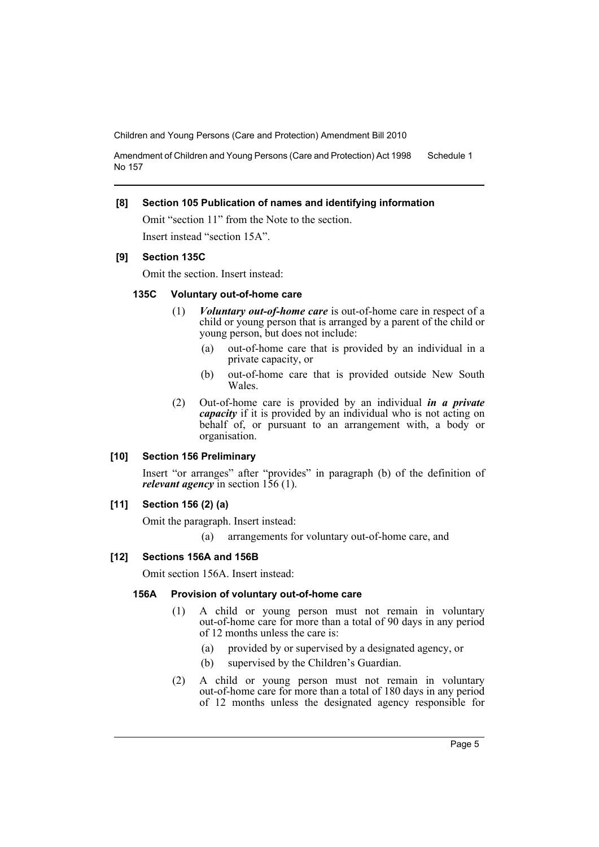Amendment of Children and Young Persons (Care and Protection) Act 1998 No 157 Schedule 1

#### **[8] Section 105 Publication of names and identifying information**

Omit "section 11" from the Note to the section. Insert instead "section 15A".

#### **[9] Section 135C**

Omit the section. Insert instead:

#### **135C Voluntary out-of-home care**

- (1) *Voluntary out-of-home care* is out-of-home care in respect of a child or young person that is arranged by a parent of the child or young person, but does not include:
	- (a) out-of-home care that is provided by an individual in a private capacity, or
	- (b) out-of-home care that is provided outside New South Wales.
- (2) Out-of-home care is provided by an individual *in a private capacity* if it is provided by an individual who is not acting on behalf of, or pursuant to an arrangement with, a body or organisation.

#### **[10] Section 156 Preliminary**

Insert "or arranges" after "provides" in paragraph (b) of the definition of *relevant agency* in section 156 (1).

#### **[11] Section 156 (2) (a)**

Omit the paragraph. Insert instead:

(a) arrangements for voluntary out-of-home care, and

#### **[12] Sections 156A and 156B**

Omit section 156A. Insert instead:

#### **156A Provision of voluntary out-of-home care**

- (1) A child or young person must not remain in voluntary out-of-home care for more than a total of 90 days in any period of 12 months unless the care is:
	- (a) provided by or supervised by a designated agency, or
	- (b) supervised by the Children's Guardian.
- (2) A child or young person must not remain in voluntary out-of-home care for more than a total of 180 days in any period of 12 months unless the designated agency responsible for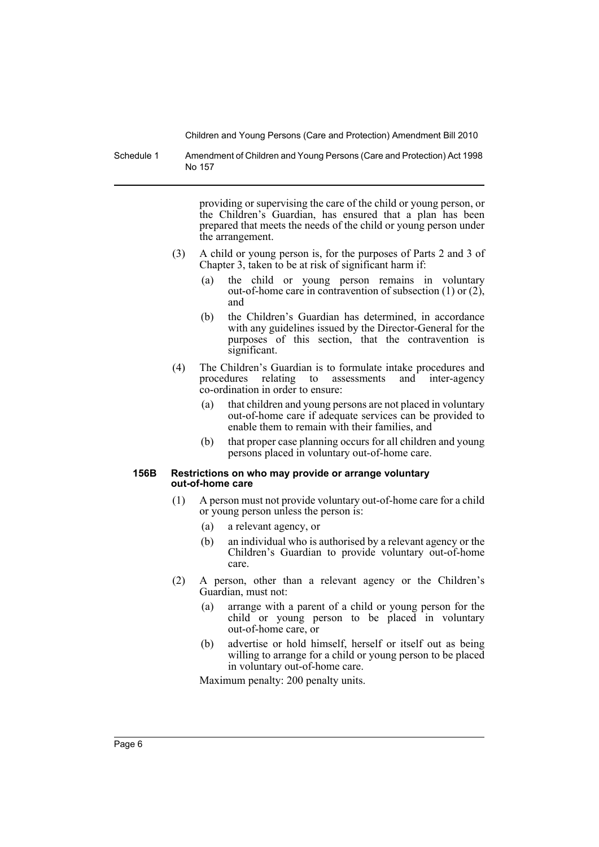Schedule 1 Amendment of Children and Young Persons (Care and Protection) Act 1998 No 157

> providing or supervising the care of the child or young person, or the Children's Guardian, has ensured that a plan has been prepared that meets the needs of the child or young person under the arrangement.

- (3) A child or young person is, for the purposes of Parts 2 and 3 of Chapter 3, taken to be at risk of significant harm if:
	- (a) the child or young person remains in voluntary out-of-home care in contravention of subsection (1) or (2), and
	- (b) the Children's Guardian has determined, in accordance with any guidelines issued by the Director-General for the purposes of this section, that the contravention is significant.
- (4) The Children's Guardian is to formulate intake procedures and procedures relating to assessments and inter-agency co-ordination in order to ensure:
	- (a) that children and young persons are not placed in voluntary out-of-home care if adequate services can be provided to enable them to remain with their families, and
	- (b) that proper case planning occurs for all children and young persons placed in voluntary out-of-home care.

#### **156B Restrictions on who may provide or arrange voluntary out-of-home care**

- (1) A person must not provide voluntary out-of-home care for a child or young person unless the person is:
	- (a) a relevant agency, or
	- (b) an individual who is authorised by a relevant agency or the Children's Guardian to provide voluntary out-of-home care.
- (2) A person, other than a relevant agency or the Children's Guardian, must not:
	- (a) arrange with a parent of a child or young person for the child or young person to be placed in voluntary out-of-home care, or
	- (b) advertise or hold himself, herself or itself out as being willing to arrange for a child or young person to be placed in voluntary out-of-home care.

Maximum penalty: 200 penalty units.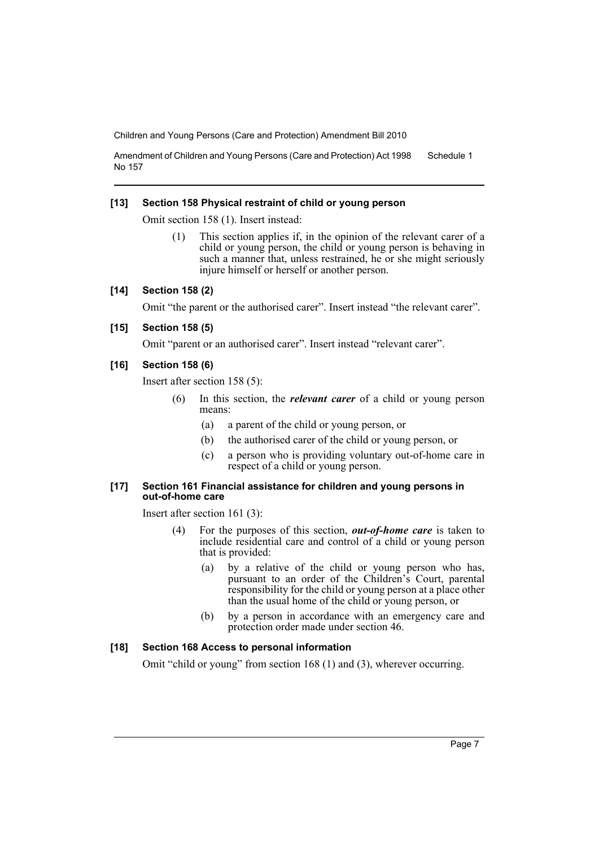Amendment of Children and Young Persons (Care and Protection) Act 1998 No 157 Schedule 1

#### **[13] Section 158 Physical restraint of child or young person**

Omit section 158 (1). Insert instead:

(1) This section applies if, in the opinion of the relevant carer of a child or young person, the child or young person is behaving in such a manner that, unless restrained, he or she might seriously injure himself or herself or another person.

#### **[14] Section 158 (2)**

Omit "the parent or the authorised carer". Insert instead "the relevant carer".

#### **[15] Section 158 (5)**

Omit "parent or an authorised carer". Insert instead "relevant carer".

#### **[16] Section 158 (6)**

Insert after section 158 (5):

- (6) In this section, the *relevant carer* of a child or young person means:
	- (a) a parent of the child or young person, or
	- (b) the authorised carer of the child or young person, or
	- (c) a person who is providing voluntary out-of-home care in respect of a child or young person.

#### **[17] Section 161 Financial assistance for children and young persons in out-of-home care**

Insert after section 161 (3):

- (4) For the purposes of this section, *out-of-home care* is taken to include residential care and control of a child or young person that is provided:
	- (a) by a relative of the child or young person who has, pursuant to an order of the Children's Court, parental responsibility for the child or young person at a place other than the usual home of the child or young person, or
	- (b) by a person in accordance with an emergency care and protection order made under section 46.

#### **[18] Section 168 Access to personal information**

Omit "child or young" from section 168 (1) and (3), wherever occurring.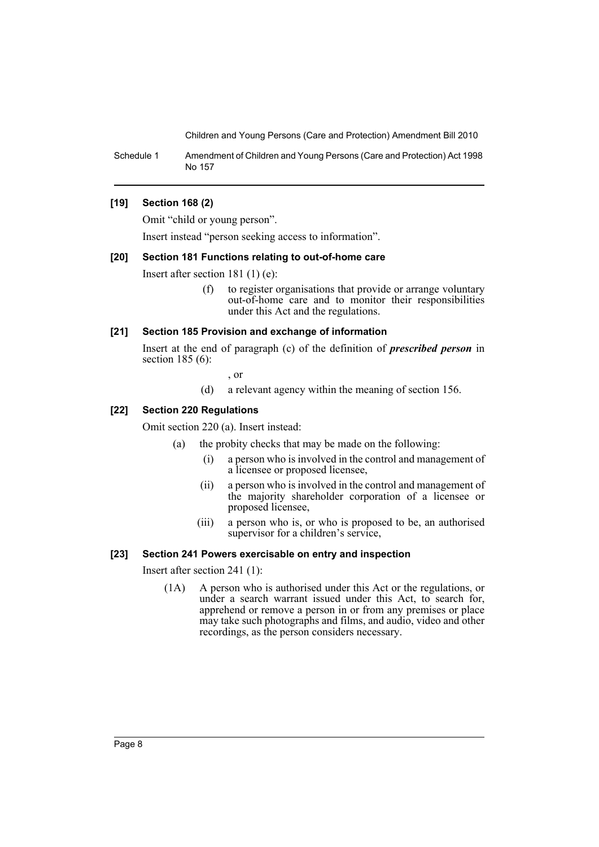Schedule 1 Amendment of Children and Young Persons (Care and Protection) Act 1998 No 157

#### **[19] Section 168 (2)**

Omit "child or young person".

Insert instead "person seeking access to information".

#### **[20] Section 181 Functions relating to out-of-home care**

Insert after section 181 (1) (e):

(f) to register organisations that provide or arrange voluntary out-of-home care and to monitor their responsibilities under this Act and the regulations.

#### **[21] Section 185 Provision and exchange of information**

Insert at the end of paragraph (c) of the definition of *prescribed person* in section 185 (6):

- , or
- (d) a relevant agency within the meaning of section 156.

#### **[22] Section 220 Regulations**

Omit section 220 (a). Insert instead:

- (a) the probity checks that may be made on the following:
	- (i) a person who is involved in the control and management of a licensee or proposed licensee,
	- (ii) a person who is involved in the control and management of the majority shareholder corporation of a licensee or proposed licensee,
	- (iii) a person who is, or who is proposed to be, an authorised supervisor for a children's service,

#### **[23] Section 241 Powers exercisable on entry and inspection**

Insert after section 241 (1):

(1A) A person who is authorised under this Act or the regulations, or under a search warrant issued under this Act, to search for, apprehend or remove a person in or from any premises or place may take such photographs and films, and audio, video and other recordings, as the person considers necessary.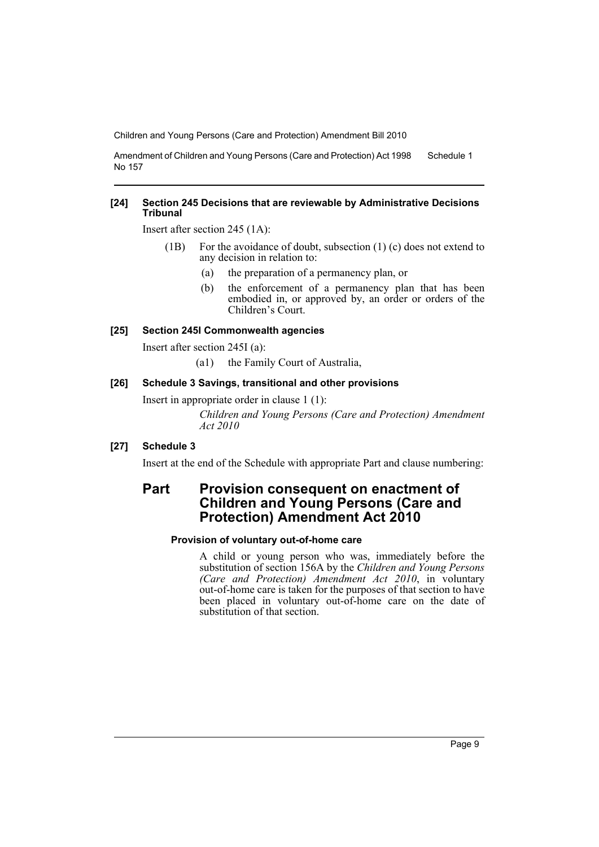Amendment of Children and Young Persons (Care and Protection) Act 1998 No 157 Schedule 1

#### **[24] Section 245 Decisions that are reviewable by Administrative Decisions Tribunal**

Insert after section 245 (1A):

- (1B) For the avoidance of doubt, subsection (1) (c) does not extend to any decision in relation to:
	- (a) the preparation of a permanency plan, or
	- (b) the enforcement of a permanency plan that has been embodied in, or approved by, an order or orders of the Children's Court.

#### **[25] Section 245I Commonwealth agencies**

Insert after section 245I (a):

(a1) the Family Court of Australia,

#### **[26] Schedule 3 Savings, transitional and other provisions**

Insert in appropriate order in clause 1 (1):

*Children and Young Persons (Care and Protection) Amendment Act 2010*

#### **[27] Schedule 3**

Insert at the end of the Schedule with appropriate Part and clause numbering:

# **Part Provision consequent on enactment of Children and Young Persons (Care and Protection) Amendment Act 2010**

#### **Provision of voluntary out-of-home care**

A child or young person who was, immediately before the substitution of section 156A by the *Children and Young Persons (Care and Protection) Amendment Act 2010*, in voluntary out-of-home care is taken for the purposes of that section to have been placed in voluntary out-of-home care on the date of substitution of that section.